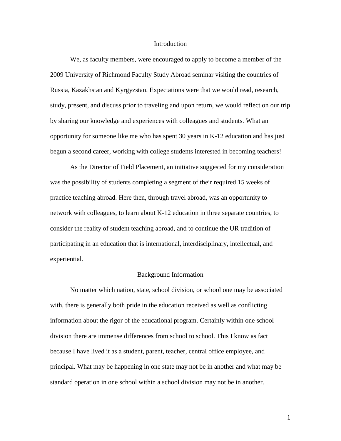#### Introduction

We, as faculty members, were encouraged to apply to become a member of the 2009 University of Richmond Faculty Study Abroad seminar visiting the countries of Russia, Kazakhstan and Kyrgyzstan. Expectations were that we would read, research, study, present, and discuss prior to traveling and upon return, we would reflect on our trip by sharing our knowledge and experiences with colleagues and students. What an opportunity for someone like me who has spent 30 years in K-12 education and has just begun a second career, working with college students interested in becoming teachers!

As the Director of Field Placement, an initiative suggested for my consideration was the possibility of students completing a segment of their required 15 weeks of practice teaching abroad. Here then, through travel abroad, was an opportunity to network with colleagues, to learn about K-12 education in three separate countries, to consider the reality of student teaching abroad, and to continue the UR tradition of participating in an education that is international, interdisciplinary, intellectual, and experiential.

### Background Information

No matter which nation, state, school division, or school one may be associated with, there is generally both pride in the education received as well as conflicting information about the rigor of the educational program. Certainly within one school division there are immense differences from school to school. This I know as fact because I have lived it as a student, parent, teacher, central office employee, and principal. What may be happening in one state may not be in another and what may be standard operation in one school within a school division may not be in another.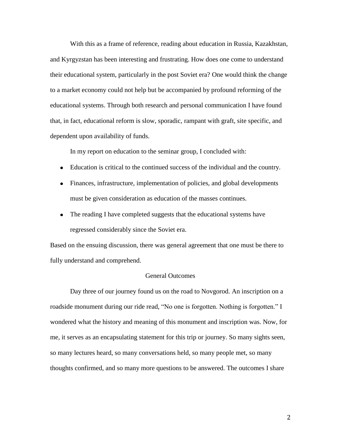With this as a frame of reference, reading about education in Russia, Kazakhstan, and Kyrgyzstan has been interesting and frustrating. How does one come to understand their educational system, particularly in the post Soviet era? One would think the change to a market economy could not help but be accompanied by profound reforming of the educational systems. Through both research and personal communication I have found that, in fact, educational reform is slow, sporadic, rampant with graft, site specific, and dependent upon availability of funds.

In my report on education to the seminar group, I concluded with:

- Education is critical to the continued success of the individual and the country.
- Finances, infrastructure, implementation of policies, and global developments must be given consideration as education of the masses continues.
- The reading I have completed suggests that the educational systems have regressed considerably since the Soviet era.

Based on the ensuing discussion, there was general agreement that one must be there to fully understand and comprehend.

# General Outcomes

Day three of our journey found us on the road to Novgorod. An inscription on a roadside monument during our ride read, "No one is forgotten. Nothing is forgotten." I wondered what the history and meaning of this monument and inscription was. Now, for me, it serves as an encapsulating statement for this trip or journey. So many sights seen, so many lectures heard, so many conversations held, so many people met, so many thoughts confirmed, and so many more questions to be answered. The outcomes I share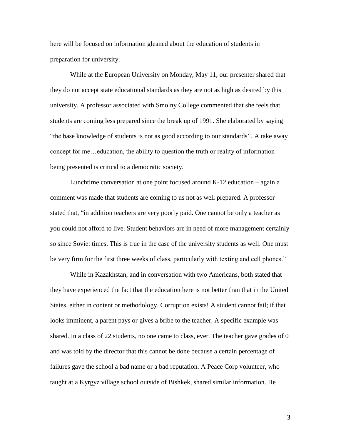here will be focused on information gleaned about the education of students in preparation for university.

While at the European University on Monday, May 11, our presenter shared that they do not accept state educational standards as they are not as high as desired by this university. A professor associated with Smolny College commented that she feels that students are coming less prepared since the break up of 1991. She elaborated by saying "the base knowledge of students is not as good according to our standards". A take away concept for me…education, the ability to question the truth or reality of information being presented is critical to a democratic society.

Lunchtime conversation at one point focused around K-12 education – again a comment was made that students are coming to us not as well prepared. A professor stated that, "in addition teachers are very poorly paid. One cannot be only a teacher as you could not afford to live. Student behaviors are in need of more management certainly so since Soviet times. This is true in the case of the university students as well. One must be very firm for the first three weeks of class, particularly with texting and cell phones."

While in Kazakhstan, and in conversation with two Americans, both stated that they have experienced the fact that the education here is not better than that in the United States, either in content or methodology. Corruption exists! A student cannot fail; if that looks imminent, a parent pays or gives a bribe to the teacher. A specific example was shared. In a class of 22 students, no one came to class, ever. The teacher gave grades of 0 and was told by the director that this cannot be done because a certain percentage of failures gave the school a bad name or a bad reputation. A Peace Corp volunteer, who taught at a Kyrgyz village school outside of Bishkek, shared similar information. He

3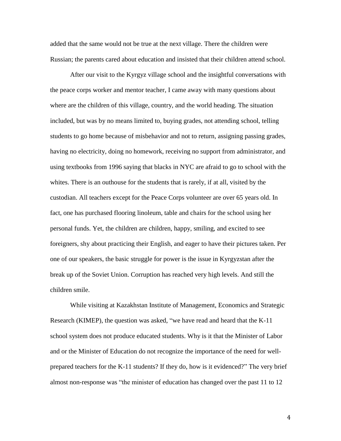added that the same would not be true at the next village. There the children were Russian; the parents cared about education and insisted that their children attend school.

After our visit to the Kyrgyz village school and the insightful conversations with the peace corps worker and mentor teacher, I came away with many questions about where are the children of this village, country, and the world heading. The situation included, but was by no means limited to, buying grades, not attending school, telling students to go home because of misbehavior and not to return, assigning passing grades, having no electricity, doing no homework, receiving no support from administrator, and using textbooks from 1996 saying that blacks in NYC are afraid to go to school with the whites. There is an outhouse for the students that is rarely, if at all, visited by the custodian. All teachers except for the Peace Corps volunteer are over 65 years old. In fact, one has purchased flooring linoleum, table and chairs for the school using her personal funds. Yet, the children are children, happy, smiling, and excited to see foreigners, shy about practicing their English, and eager to have their pictures taken. Per one of our speakers, the basic struggle for power is the issue in Kyrgyzstan after the break up of the Soviet Union. Corruption has reached very high levels. And still the children smile.

While visiting at Kazakhstan Institute of Management, Economics and Strategic Research (KIMEP), the question was asked, "we have read and heard that the K-11 school system does not produce educated students. Why is it that the Minister of Labor and or the Minister of Education do not recognize the importance of the need for wellprepared teachers for the K-11 students? If they do, how is it evidenced?" The very brief almost non-response was "the minister of education has changed over the past 11 to 12

4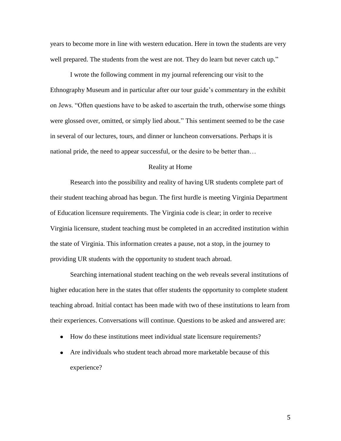years to become more in line with western education. Here in town the students are very well prepared. The students from the west are not. They do learn but never catch up."

I wrote the following comment in my journal referencing our visit to the Ethnography Museum and in particular after our tour guide's commentary in the exhibit on Jews. "Often questions have to be asked to ascertain the truth, otherwise some things were glossed over, omitted, or simply lied about." This sentiment seemed to be the case in several of our lectures, tours, and dinner or luncheon conversations. Perhaps it is national pride, the need to appear successful, or the desire to be better than…

## Reality at Home

Research into the possibility and reality of having UR students complete part of their student teaching abroad has begun. The first hurdle is meeting Virginia Department of Education licensure requirements. The Virginia code is clear; in order to receive Virginia licensure, student teaching must be completed in an accredited institution within the state of Virginia. This information creates a pause, not a stop, in the journey to providing UR students with the opportunity to student teach abroad.

Searching international student teaching on the web reveals several institutions of higher education here in the states that offer students the opportunity to complete student teaching abroad. Initial contact has been made with two of these institutions to learn from their experiences. Conversations will continue. Questions to be asked and answered are:

- How do these institutions meet individual state licensure requirements?
- Are individuals who student teach abroad more marketable because of this experience?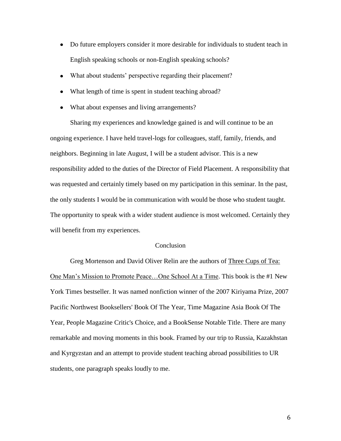- Do future employers consider it more desirable for individuals to student teach in English speaking schools or non-English speaking schools?
- What about students' perspective regarding their placement?
- What length of time is spent in student teaching abroad?
- What about expenses and living arrangements?

Sharing my experiences and knowledge gained is and will continue to be an ongoing experience. I have held travel-logs for colleagues, staff, family, friends, and neighbors. Beginning in late August, I will be a student advisor. This is a new responsibility added to the duties of the Director of Field Placement. A responsibility that was requested and certainly timely based on my participation in this seminar. In the past, the only students I would be in communication with would be those who student taught. The opportunity to speak with a wider student audience is most welcomed. Certainly they will benefit from my experiences.

### **Conclusion**

Greg Mortenson and David Oliver Relin are the authors of Three Cups of Tea: One Man's Mission to Promote Peace…One School At a Time. This book is the #1 New York Times bestseller. It was named nonfiction winner of the 2007 Kiriyama Prize, 2007 Pacific Northwest Booksellers' Book Of The Year, Time Magazine Asia Book Of The Year, People Magazine Critic's Choice, and a BookSense Notable Title. There are many remarkable and moving moments in this book. Framed by our trip to Russia, Kazakhstan and Kyrgyzstan and an attempt to provide student teaching abroad possibilities to UR students, one paragraph speaks loudly to me.